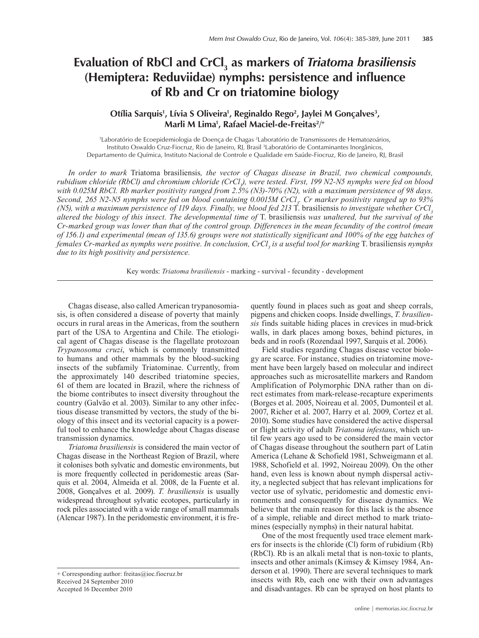# **Evaluation of RbCl and CrCl3 as markers of** *Triatoma brasiliensis* **(Hemiptera: Reduviidae) nymphs: persistence and influence of Rb and Cr on triatomine biology**

## Otília Sarquis<sup>1</sup>, Lívia S Oliveira<sup>1</sup>, Reginaldo Rego<sup>2</sup>, Jaylei M Gonçalves<sup>3</sup>, **Marli M Lima1 , Rafael Maciel-de-Freitas2/ +**

1 Laboratório de Ecoepidemiologia de Doença de Chagas 2 Laboratório de Transmissores de Hematozoários, Instituto Oswaldo Cruz-Fiocruz, Rio de Janeiro, RJ, Brasil 3 Laboratório de Contaminantes Inorgânicos, Departamento de Química, Instituto Nacional de Controle e Qualidade em Saúde-Fiocruz, Rio de Janeiro, RJ, Brasil

*In order to mark* Triatoma brasiliensis*, the vector of Chagas disease in Brazil, two chemical compounds,*  rubidium chloride (RbCl) and chromium chloride (CrCl<sub>3</sub>), were tested. First, 199 N2-N5 nymphs were fed on blood<br> *(CrCl<sub>3</sub>) with 0.025M RbCl. Rb marker positivity ranged from 2.5% (N3)-70% (N2), with a maximum persistence of 98 days.*  Second, 265 N2-N5 nymphs were fed on blood containing 0.0015M CrCl<sub>3</sub>. Cr marker positivity ranged up to 93% *(N5), with a maximum persistence of 119 days. Finally, we blood fed 213* T. brasiliensis *to investigate whether CrCl3 altered the biology of this insect. The developmental time of* T. brasiliensis *was unaltered, but the survival of the Cr-marked group was lower than that of the control group. Differences in the mean fecundity of the control (mean of 156.1) and experimental (mean of 135.6) groups were not statistically significant and 100% of the egg batches of females Cr-marked as nymphs were positive. In conclusion, CrCl3 is a useful tool for marking* T. brasiliensis *nymphs due to its high positivity and persistence.*

Key words: *Triatoma brasiliensis* - marking - survival - fecundity - development

Chagas disease, also called American trypanosomiasis, is often considered a disease of poverty that mainly occurs in rural areas in the Americas, from the southern part of the USA to Argentina and Chile. The etiological agent of Chagas disease is the flagellate protozoan *Trypanosoma cruzi*, which is commonly transmitted to humans and other mammals by the blood-sucking insects of the subfamily Triatominae. Currently, from the approximately 140 described triatomine species, 61 of them are located in Brazil, where the richness of the biome contributes to insect diversity throughout the country (Galvão et al. 2003). Similar to any other infectious disease transmitted by vectors, the study of the biology of this insect and its vectorial capacity is a powerful tool to enhance the knowledge about Chagas disease transmission dynamics.

*Triatoma brasiliensis* is considered the main vector of Chagas disease in the Northeast Region of Brazil, where it colonises both sylvatic and domestic environments, but is more frequently collected in peridomestic areas (Sarquis et al. 2004, Almeida et al. 2008, de la Fuente et al. 2008, Gonçalves et al. 2009). *T. brasiliensis* is usually widespread throughout sylvatic ecotopes, particularly in rock piles associated with a wide range of small mammals (Alencar 1987). In the peridomestic environment, it is fre-

Accepted 16 December 2010

quently found in places such as goat and sheep corrals, pigpens and chicken coops. Inside dwellings, *T. brasiliensis* finds suitable hiding places in crevices in mud-brick walls, in dark places among boxes, behind pictures, in beds and in roofs (Rozendaal 1997, Sarquis et al. 2006).

Field studies regarding Chagas disease vector biology are scarce. For instance, studies on triatomine movement have been largely based on molecular and indirect approaches such as microsatellite markers and Random Amplification of Polymorphic DNA rather than on direct estimates from mark-release-recapture experiments (Borges et al. 2005, Noireau et al. 2005, Dumonteil et al. 2007, Richer et al. 2007, Harry et al. 2009, Cortez et al. 2010). Some studies have considered the active dispersal or flight activity of adult *Triatoma infestans*, which until few years ago used to be considered the main vector of Chagas disease throughout the southern part of Latin America (Lehane & Schofield 1981, Schweigmann et al. 1988, Schofield et al. 1992, Noireau 2009). On the other hand, even less is known about nymph dispersal activity, a neglected subject that has relevant implications for vector use of sylvatic, peridomestic and domestic environments and consequently for disease dynamics. We believe that the main reason for this lack is the absence of a simple, reliable and direct method to mark triatomines (especially nymphs) in their natural habitat.

One of the most frequently used trace element markers for insects is the chloride (Cl) form of rubidium (Rb) (RbCl). Rb is an alkali metal that is non-toxic to plants, insects and other animals (Kimsey & Kimsey 1984, Anderson et al. 1990). There are several techniques to mark insects with Rb, each one with their own advantages and disadvantages. Rb can be sprayed on host plants to

<sup>+</sup> Corresponding author: freitas@ioc.fiocruz.br Received 24 September 2010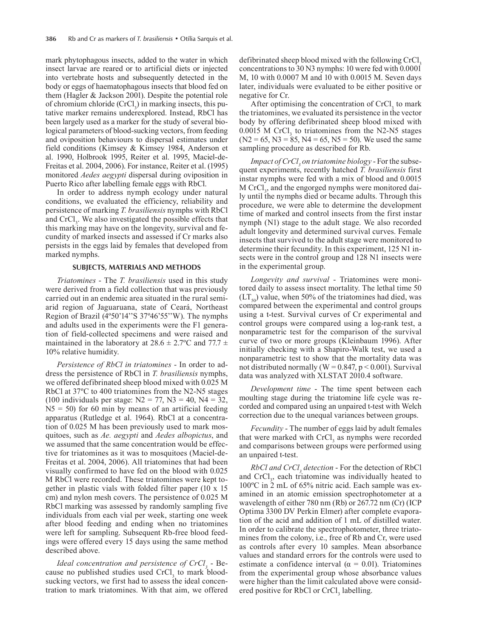mark phytophagous insects, added to the water in which insect larvae are reared or to artificial diets or injected into vertebrate hosts and subsequently detected in the body or eggs of haematophagous insects that blood fed on them (Hagler & Jackson 2001). Despite the potential role of chromium chloride  $(CrCl_3)$  in marking insects, this putative marker remains underexplored. Instead, RbCl has been largely used as a marker for the study of several biological parameters of blood-sucking vectors, from feeding and oviposition behaviours to dispersal estimates under field conditions (Kimsey & Kimsey 1984, Anderson et al. 1990, Holbrook 1995, Reiter et al. 1995, Maciel-de-Freitas et al. 2004, 2006). For instance, Reiter et al. (1995) monitored *Aedes aegypti* dispersal during oviposition in Puerto Rico after labelling female eggs with RbCl.

In order to address nymph ecology under natural conditions, we evaluated the efficiency, reliability and persistence of marking *T. brasiliensis* nymphs with RbCl and  $CrCl<sub>3</sub>$ . We also investigated the possible effects that this marking may have on the longevity, survival and fecundity of marked insects and assessed if Cr marks also persists in the eggs laid by females that developed from marked nymphs.

#### **SUBJECTS, MATERIALS AND METHODS**

*Triatomines* - The *T. brasiliensis* used in this study were derived from a field collection that was previously carried out in an endemic area situated in the rural semiarid region of Jaguaruana, state of Ceará, Northeast Region of Brazil (4º50'14''S 37º46'55''W). The nymphs and adults used in the experiments were the F1 generation of field-collected specimens and were raised and maintained in the laboratory at  $28.6 \pm 2.7$ °C and  $77.7 \pm$ 10% relative humidity.

*Persistence of RbCl in triatomines* - In order to address the persistence of RbCl in *T. brasiliensis* nymphs, we offered defibrinated sheep blood mixed with 0.025 M RbCl at 37ºC to 400 triatomines from the N2-N5 stages (100 individuals per stage:  $N2 = 77$ ,  $N3 = 40$ ,  $N4 = 32$ ,  $N5 = 50$ ) for 60 min by means of an artificial feeding apparatus (Rutledge et al. 1964). RbCl at a concentration of 0.025 M has been previously used to mark mosquitoes, such as *Ae. aegypti* and *Aedes albopictus*, and we assumed that the same concentration would be effective for triatomines as it was to mosquitoes (Maciel-de-Freitas et al. 2004, 2006). All triatomines that had been visually confirmed to have fed on the blood with 0.025 M RbCl were recorded. These triatomines were kept together in plastic vials with folded filter paper (10 x 15 cm) and nylon mesh covers. The persistence of 0.025 M RbCl marking was assessed by randomly sampling five individuals from each vial per week, starting one week after blood feeding and ending when no triatomines were left for sampling. Subsequent Rb-free blood feedings were offered every 15 days using the same method described above.

*Ideal concentration and persistence of CrCl*<sub>3</sub> - Because no published studies used  $CrCl<sub>3</sub>$  to mark bloodsucking vectors, we first had to assess the ideal concentration to mark triatomines. With that aim, we offered

defibrinated sheep blood mixed with the following CrCl. concentrations to 30 N3 nymphs: 10 were fed with 0.0001 M, 10 with 0.0007 M and 10 with 0.0015 M. Seven days later, individuals were evaluated to be either positive or negative for Cr.

After optimising the concentration of  $CrCl<sub>3</sub>$  to mark the triatomines, we evaluated its persistence in the vector body by offering defibrinated sheep blood mixed with  $0.0015$  M CrCl<sub>3</sub> to triatomines from the N2-N5 stages  $(N2 = 65, N3 = 85, N4 = 65, N5 = 50)$ . We used the same sampling procedure as described for Rb.

*Impact of CrCl<sub>3</sub>* on triatomine biology - For the subsequent experiments, recently hatched *T. brasiliensis* first instar nymphs were fed with a mix of blood and 0.0015  $M$  CrCl<sub>3</sub>, and the engorged nymphs were monitored daily until the nymphs died or became adults. Through this procedure, we were able to determine the development time of marked and control insects from the first instar nymph (N1) stage to the adult stage. We also recorded adult longevity and determined survival curves. Female insects that survived to the adult stage were monitored to determine their fecundity. In this experiment, 125 N1 insects were in the control group and 128 N1 insects were in the experimental group.

*Longevity and survival* - Triatomines were monitored daily to assess insect mortality. The lethal time 50  $(LT<sub>50</sub>)$  value, when 50% of the triatomines had died, was compared between the experimental and control groups using a t-test. Survival curves of Cr experimental and control groups were compared using a log-rank test, a nonparametric test for the comparison of the survival curve of two or more groups (Kleinbaum 1996). After initially checking with a Shapiro-Walk test, we used a nonparametric test to show that the mortality data was not distributed normally (W =  $0.847$ , p <  $0.001$ ). Survival data was analyzed with XLSTAT 2010.4 software.

*Development time* - The time spent between each moulting stage during the triatomine life cycle was recorded and compared using an unpaired t-test with Welch correction due to the unequal variances between groups.

*Fecundity* - The number of eggs laid by adult females that were marked with  $CrCl<sub>3</sub>$  as nymphs were recorded and comparisons between groups were performed using an unpaired t-test.

*RbCl and CrCl<sub>3</sub>* detection - For the detection of RbCl and  $CrCl<sub>3</sub>$ , each triatomine was individually heated to 100ºC in 2 mL of 65% nitric acid. Each sample was examined in an atomic emission spectrophotometer at a wavelength of either 780 nm (Rb) or 267.72 nm (Cr) (ICP Optima 3300 DV Perkin Elmer) after complete evaporation of the acid and addition of 1 mL of distilled water. In order to calibrate the spectrophotometer, three triatomines from the colony, i.e., free of Rb and Cr, were used as controls after every 10 samples. Mean absorbance values and standard errors for the controls were used to estimate a confidence interval ( $\alpha = 0.01$ ). Triatomines from the experimental group whose absorbance values were higher than the limit calculated above were considered positive for RbCl or CrCl<sub>3</sub> labelling.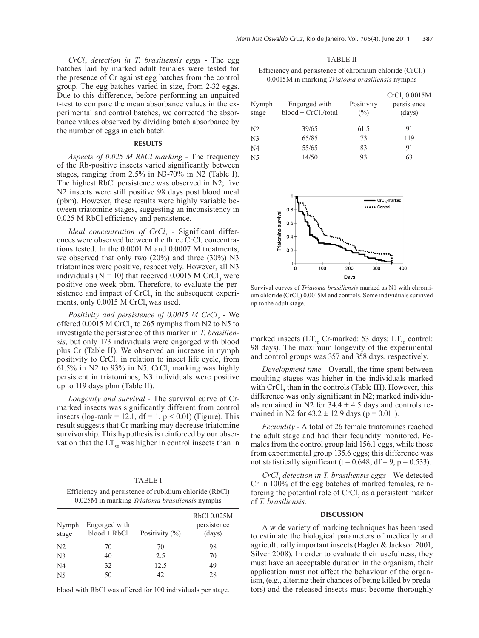*CrCl3 detection in T. brasiliensis eggs* - The egg batches laid by marked adult females were tested for the presence of Cr against egg batches from the control group. The egg batches varied in size, from 2-32 eggs. Due to this difference, before performing an unpaired t-test to compare the mean absorbance values in the experimental and control batches, we corrected the absorbance values observed by dividing batch absorbance by the number of eggs in each batch.

### **RESULTS**

*Aspects of 0.025 M RbCl marking* - The frequency of the Rb-positive insects varied significantly between stages, ranging from 2.5% in N3-70% in N2 (Table I). The highest RbCl persistence was observed in N2; five N2 insects were still positive 98 days post blood meal (pbm). However, these results were highly variable between triatomine stages, suggesting an inconsistency in 0.025 M RbCl efficiency and persistence.

*Ideal concentration of CrCl*<sub>3</sub> - Significant differences were observed between the three  $CrCl<sub>3</sub>$  concentrations tested. In the 0.0001 M and 0.0007 M treatments, we observed that only two (20%) and three (30%) N3 triatomines were positive, respectively. However, all N3 individuals ( $N = 10$ ) that received 0.0015 M CrCl<sub>3</sub> were positive one week pbm. Therefore, to evaluate the persistence and impact of  $CrCl<sub>3</sub>$  in the subsequent experiments, only  $0.0015$  M CrCl<sub>3</sub> was used.

*Positivity and persistence of 0.0015 M CrCl<sub>3</sub> - We* offered  $0.0015$  M CrCl<sub>3</sub> to 265 nymphs from N2 to N5 to investigate the persistence of this marker in *T. brasiliensis*, but only 173 individuals were engorged with blood plus Cr (Table II). We observed an increase in nymph positivity to  $CrCl<sub>3</sub>$  in relation to insect life cycle, from 61.5% in N2 to 93% in N5. CrCl<sub>3</sub> marking was highly persistent in triatomines; N3 individuals were positive up to 119 days pbm (Table II).

*Longevity and survival* - The survival curve of Crmarked insects was significantly different from control insects (log-rank = 12.1,  $df = 1$ ,  $p < 0.01$ ) (Figure). This result suggests that Cr marking may decrease triatomine survivorship. This hypothesis is reinforced by our observation that the  $LT_{50}$  was higher in control insects than in

#### TABLE I

Efficiency and persistence of rubidium chloride (RbCl) 0.025M in marking *Triatoma brasiliensis* nymphs

| Nymph<br>stage | Engorged with<br>$blood + RbCl$ | Positivity $(\%)$ | RbCl 0.025M<br>persistence<br>(days) |
|----------------|---------------------------------|-------------------|--------------------------------------|
| N <sub>2</sub> | 70                              | 70                | 98                                   |
| N <sub>3</sub> | 40                              | 2.5               | 70                                   |
| N <sub>4</sub> | 32                              | 12.5              | 49                                   |
| N <sub>5</sub> | 50                              | 42                | 28                                   |

blood with RbCl was offered for 100 individuals per stage.

TABLE II Efficiency and persistence of chromium chloride  $(CrCl<sub>3</sub>)$ 0.0015M in marking *Triatoma brasiliensis* nymphs

| Nymph<br>stage | Engorged with<br>$blood + CrCl2/total$ | Positivity<br>$\binom{0}{0}$ | CrCl <sub>3</sub> 0.0015M<br>persistence<br>(days) |
|----------------|----------------------------------------|------------------------------|----------------------------------------------------|
| N2             | 39/65                                  | 61.5                         | 91                                                 |
| N <sub>3</sub> | 65/85                                  | 73                           | 119                                                |
| N4             | 55/65                                  | 83                           | 91                                                 |
| N5             | 14/50                                  | 93                           | 63                                                 |



Survival curves of *Triatoma brasiliensis* marked as N1 with chromium chloride  $(CrCl<sub>3</sub>)$  0.0015M and controls. Some individuals survived up to the adult stage.

marked insects ( $LT_{50}$  Cr-marked: 53 days;  $LT_{50}$  control: 98 days). The maximum longevity of the experimental and control groups was 357 and 358 days, respectively.

*Development time* - Overall, the time spent between moulting stages was higher in the individuals marked with  $CrCl<sub>3</sub>$  than in the controls (Table III). However, this difference was only significant in N2; marked individuals remained in N2 for  $34.4 \pm 4.5$  days and controls remained in N2 for  $43.2 \pm 12.9$  days (p = 0.011).

*Fecundity* - A total of 26 female triatomines reached the adult stage and had their fecundity monitored. Females from the control group laid 156.1 eggs, while those from experimental group 135.6 eggs; this difference was not statistically significant (t =  $0.648$ , df =  $9$ , p =  $0.533$ ).

*CrCl3 detection in T. brasiliensis eggs* - We detected Cr in 100% of the egg batches of marked females, reinforcing the potential role of  $CrCl<sub>3</sub>$  as a persistent marker of *T. brasiliensis*.

#### **DISCUSSION**

A wide variety of marking techniques has been used to estimate the biological parameters of medically and agriculturally important insects (Hagler & Jackson 2001, Silver 2008). In order to evaluate their usefulness, they must have an acceptable duration in the organism, their application must not affect the behaviour of the organism, (e.g., altering their chances of being killed by predators) and the released insects must become thoroughly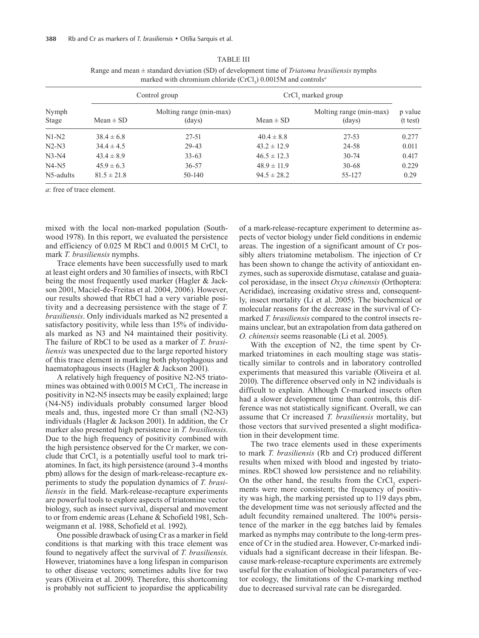| Nymph<br>Stage | Control group   |                                   | CrCl <sub>3</sub> marked group |                                   |                     |
|----------------|-----------------|-----------------------------------|--------------------------------|-----------------------------------|---------------------|
|                | $Mean \pm SD$   | Molting range (min-max)<br>(days) | $Mean \pm SD$                  | Molting range (min-max)<br>(days) | p value<br>(t test) |
| $N1-N2$        | $38.4 \pm 6.8$  | 27-51                             | $40.4 \pm 8.8$                 | 27-53                             | 0.277               |
| $N2-N3$        | $34.4 \pm 4.5$  | $29 - 43$                         | $43.2 \pm 12.9$                | 24-58                             | 0.011               |
| $N3-N4$        | $43.4 \pm 8.9$  | $33 - 63$                         | $46.5 \pm 12.3$                | $30 - 74$                         | 0.417               |
| $N4-N5$        | $45.9 \pm 6.3$  | $36 - 57$                         | $48.9 \pm 11.9$                | $30 - 68$                         | 0.229               |
| N5-adults      | $81.5 \pm 21.8$ | 50-140                            | $94.5 \pm 28.2$                | 55-127                            | 0.29                |

TABLE III Range and mean ± standard deviation (SD) of development time of *Triatoma brasiliensis* nymphs marked with chromium chloride (CrCl<sub>3</sub>) 0.0015M and controls<sup>*a*</sup>

*a*: free of trace element.

mixed with the local non-marked population (Southwood 1978). In this report, we evaluated the persistence and efficiency of  $0.025$  M RbCl and  $0.0015$  M CrCl<sub>3</sub> to mark *T. brasiliensis* nymphs.

Trace elements have been successfully used to mark at least eight orders and 30 families of insects, with RbCl being the most frequently used marker (Hagler & Jackson 2001, Maciel-de-Freitas et al. 2004, 2006). However, our results showed that RbCl had a very variable positivity and a decreasing persistence with the stage of *T. brasiliensis*. Only individuals marked as N2 presented a satisfactory positivity, while less than 15% of individuals marked as N3 and N4 maintained their positivity. The failure of RbCl to be used as a marker of *T. brasiliensis* was unexpected due to the large reported history of this trace element in marking both phytophagous and haematophagous insects (Hagler & Jackson 2001).

A relatively high frequency of positive N2-N5 triatomines was obtained with  $0.0015$  M CrCl<sub>3</sub>. The increase in positivity in N2-N5 insects may be easily explained; large (N4-N5) individuals probably consumed larger blood meals and, thus, ingested more Cr than small (N2-N3) individuals (Hagler & Jackson 2001). In addition, the Cr marker also presented high persistence in *T. brasiliensis*. Due to the high frequency of positivity combined with the high persistence observed for the Cr marker, we conclude that  $CrCl<sub>3</sub>$  is a potentially useful tool to mark triatomines. In fact, its high persistence (around 3-4 months pbm) allows for the design of mark-release-recapture experiments to study the population dynamics of *T. brasiliensis* in the field. Mark-release-recapture experiments are powerful tools to explore aspects of triatomine vector biology, such as insect survival, dispersal and movement to or from endemic areas (Lehane & Schofield 1981, Schweigmann et al. 1988, Schofield et al. 1992).

One possible drawback of using Cr as a marker in field conditions is that marking with this trace element was found to negatively affect the survival of *T. brasiliensis*. However, triatomines have a long lifespan in comparison to other disease vectors; sometimes adults live for two years (Oliveira et al. 2009). Therefore, this shortcoming is probably not sufficient to jeopardise the applicability

of a mark-release-recapture experiment to determine aspects of vector biology under field conditions in endemic areas. The ingestion of a significant amount of Cr possibly alters triatomine metabolism. The injection of Cr has been shown to change the activity of antioxidant enzymes, such as superoxide dismutase, catalase and guaiacol peroxidase, in the insect *Oxya chinensis* (Orthoptera: Acrididae), increasing oxidative stress and, consequently, insect mortality (Li et al. 2005). The biochemical or molecular reasons for the decrease in the survival of Crmarked *T. brasiliensis* compared to the control insects remains unclear, but an extrapolation from data gathered on *O. chinensis* seems reasonable (Li et al. 2005).

With the exception of N2, the time spent by Crmarked triatomines in each moulting stage was statistically similar to controls and in laboratory controlled experiments that measured this variable (Oliveira et al. 2010). The difference observed only in N2 individuals is difficult to explain. Although Cr-marked insects often had a slower development time than controls, this difference was not statistically significant. Overall, we can assume that Cr increased *T. brasiliensis* mortality, but those vectors that survived presented a slight modification in their development time.

The two trace elements used in these experiments to mark *T. brasiliensis* (Rb and Cr) produced different results when mixed with blood and ingested by triatomines. RbCl showed low persistence and no reliability. On the other hand, the results from the  $CrCl<sub>3</sub>$  experiments were more consistent; the frequency of positivity was high, the marking persisted up to 119 days pbm, the development time was not seriously affected and the adult fecundity remained unaltered. The 100% persistence of the marker in the egg batches laid by females marked as nymphs may contribute to the long-term presence of Cr in the studied area. However, Cr-marked individuals had a significant decrease in their lifespan. Because mark-release-recapture experiments are extremely useful for the evaluation of biological parameters of vector ecology, the limitations of the Cr-marking method due to decreased survival rate can be disregarded.